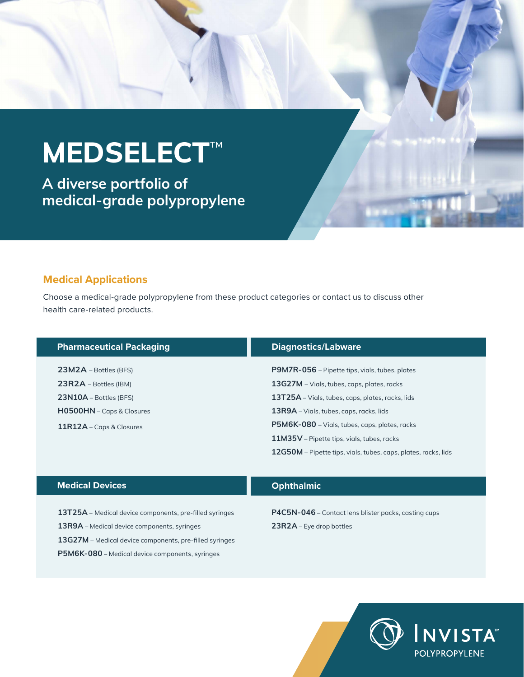# **MEDSELECT**™

**A diverse portfolio of medical-grade polypropylene**

#### **Medical Applications**

Choose a medical-grade polypropylene from these product categories or contact us to discuss other health care-related products.

#### **Pharmaceutical Packaging**  Diagnostics/Labware

**23M2A** – Bottles (BFS) **23R2A** – Bottles (IBM) **23N10A** – Bottles (BFS) **H0500HN** – Caps & Closures **11R12A** – Caps & Closures

**P9M7R-056** – Pipette tips, vials, tubes, plates **13G27M** – Vials, tubes, caps, plates, racks **13T25A** – Vials, tubes, caps, plates, racks, lids **13R9A** – Vials, tubes, caps, racks, lids **P5M6K-080** – Vials, tubes, caps, plates, racks **11M35V** – Pipette tips, vials, tubes, racks **12G50M** – Pipette tips, vials, tubes, caps, plates, racks, lids

#### **Medical Devices**

**13T25A** – Medical device components, pre-filled syringes **13R9A** – Medical device components, syringes **13G27M** – Medical device components, pre-filled syringes **P5M6K-080** – Medical device components, syringes

#### **Ophthalmic**

**P4C5N-046** – Contact lens blister packs, casting cups **23R2A** – Eye drop bottles

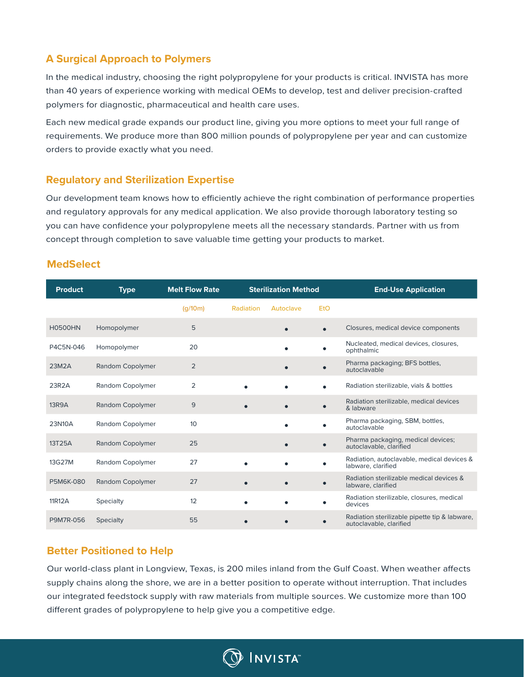# **A Surgical Approach to Polymers**

In the medical industry, choosing the right polypropylene for your products is critical. INVISTA has more than 40 years of experience working with medical OEMs to develop, test and deliver precision-crafted polymers for diagnostic, pharmaceutical and health care uses.

Each new medical grade expands our product line, giving you more options to meet your full range of requirements. We produce more than 800 million pounds of polypropylene per year and can customize orders to provide exactly what you need.

# **Regulatory and Sterilization Expertise**

Our development team knows how to efficiently achieve the right combination of performance properties and regulatory approvals for any medical application. We also provide thorough laboratory testing so you can have confidence your polypropylene meets all the necessary standards. Partner with us from concept through completion to save valuable time getting your products to market.

# **MedSelect**

| <b>Product</b>   | <b>Type</b>             | <b>Melt Flow Rate</b> | <b>Sterilization Method</b> |           |            | <b>End-Use Application</b>                                               |
|------------------|-------------------------|-----------------------|-----------------------------|-----------|------------|--------------------------------------------------------------------------|
|                  |                         | (g/10m)               | Radiation                   | Autoclave | <b>EtO</b> |                                                                          |
| <b>H0500HN</b>   | Homopolymer             | 5                     |                             |           |            | Closures, medical device components                                      |
| P4C5N-046        | Homopolymer             | 20                    |                             |           |            | Nucleated, medical devices, closures,<br>ophthalmic                      |
| 23M2A            | Random Copolymer        | $\overline{2}$        |                             |           |            | Pharma packaging; BFS bottles,<br>autoclavable                           |
| 23R2A            | Random Copolymer        | $\overline{2}$        |                             |           |            | Radiation sterilizable, vials & bottles                                  |
| <b>13R9A</b>     | Random Copolymer        | 9                     | О                           | ∙         | $\bullet$  | Radiation sterilizable, medical devices<br>& labware                     |
| 23N10A           | Random Copolymer        | 10                    |                             |           | ٠          | Pharma packaging, SBM, bottles,<br>autoclavable                          |
| 13T25A           | <b>Random Copolymer</b> | 25                    |                             |           | $\bullet$  | Pharma packaging, medical devices;<br>autoclavable, clarified            |
| 13G27M           | Random Copolymer        | 27                    |                             |           | ٠          | Radiation, autoclavable, medical devices &<br>labware, clarified         |
| P5M6K-080        | Random Copolymer        | 27                    |                             |           |            | Radiation sterilizable medical devices &<br>labware, clarified           |
| 11R12A           | Specialty               | 12                    | $\bullet$                   | ٠         |            | Radiation sterilizable, closures, medical<br>devices                     |
| <b>P9M7R-056</b> | <b>Specialty</b>        | 55                    |                             |           |            | Radiation sterilizable pipette tip & labware,<br>autoclavable, clarified |

# **Better Positioned to Help**

Our world-class plant in Longview, Texas, is 200 miles inland from the Gulf Coast. When weather affects supply chains along the shore, we are in a better position to operate without interruption. That includes our integrated feedstock supply with raw materials from multiple sources. We customize more than 100 different grades of polypropylene to help give you a competitive edge.

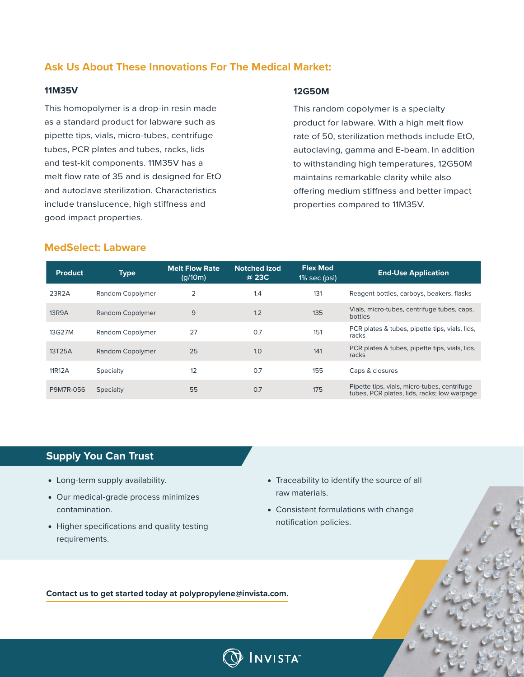# **Ask Us About These Innovations For The Medical Market:**

#### **11M35V**

This homopolymer is a drop-in resin made as a standard product for labware such as pipette tips, vials, micro-tubes, centrifuge tubes, PCR plates and tubes, racks, lids and test-kit components. 11M35V has a melt flow rate of 35 and is designed for EtO and autoclave sterilization. Characteristics include translucence, high stiffness and good impact properties.

#### **12G50M**

This random copolymer is a specialty product for labware. With a high melt flow rate of 50, sterilization methods include EtO, autoclaving, gamma and E-beam. In addition to withstanding high temperatures, 12G50M maintains remarkable clarity while also offering medium stiffness and better impact properties compared to 11M35V.

### **MedSelect: Labware**

| <b>Product</b> | <b>Type</b>      | <b>Melt Flow Rate</b><br>(q/10m) | <b>Notched Izod</b><br>@ 23C | <b>Flex Mod</b><br>$1\%$ sec (psi) | <b>End-Use Application</b>                                                                  |
|----------------|------------------|----------------------------------|------------------------------|------------------------------------|---------------------------------------------------------------------------------------------|
| 23R2A          | Random Copolymer | $\overline{2}$                   | 1.4                          | 131                                | Reagent bottles, carboys, beakers, flasks                                                   |
| <b>13R9A</b>   | Random Copolymer | 9                                | 1.2                          | 135                                | Vials, micro-tubes, centrifuge tubes, caps,<br>bottles                                      |
| 13G27M         | Random Copolymer | 27                               | 0.7                          | 151                                | PCR plates & tubes, pipette tips, vials, lids,<br>racks                                     |
| 13T25A         | Random Copolymer | 25                               | 1.0                          | 141                                | PCR plates & tubes, pipette tips, vials, lids,<br>racks                                     |
| 11R12A         | Specialty        | 12                               | 0.7                          | 155                                | Caps & closures                                                                             |
| P9M7R-056      | Specialty        | 55                               | 0.7                          | 175                                | Pipette tips, vials, micro-tubes, centrifuge<br>tubes, PCR plates, lids, racks; low warpage |

## **Supply You Can Trust**

- Long-term supply availability.
- Our medical-grade process minimizes contamination.
- Higher specifications and quality testing requirements.
- Traceability to identify the source of all raw materials.
- Consistent formulations with change notification policies.

**[Contact us to get started today at polypropylene@invista.com.](mailto:polypropylene%40invista.com?subject=)**